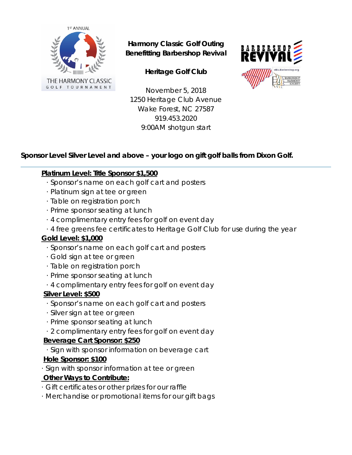

# **Harmony Classic Golf Outing Benefitting Barbershop Revival**





November 5, 2018 1250 Heritage Club Avenue Wake Forest, NC 27587 919.453.2020 9:00AM shotgun start

# **Sponsor Level Silver Level and above – your logo on gift golf balls from Dixon Golf.**

# **Platinum Level: Title Sponsor \$1,500**

- · Sponsor's name on each golf cart and posters
- · Platinum sign at tee or green
- · Table on registration porch
- · Prime sponsor seating at lunch
- · 4 complimentary entry fees for golf on event day
- · 4 free greens fee certificates to Heritage Golf Club for use during the year

## **Gold Level: \$1,000**

- · Sponsor's name on each golf cart and posters
- · Gold sign at tee or green
- · Table on registration porch
- · Prime sponsor seating at lunch
- · 4 complimentary entry fees for golf on event day

#### **Silver Level: \$500**

- · Sponsor's name on each golf cart and posters
- · Silver sign at tee or green
- · Prime sponsor seating at lunch
- · 2 complimentary entry fees for golf on event day

## **Beverage Cart Sponsor: \$250**

· Sign with sponsor information on beverage cart

## **Hole Sponsor: \$100**

· Sign with sponsor information at tee or green

## **Other Ways to Contribute:**

- · Gift certificates or other prizes for our raffle
- · Merchandise or promotional items for our gift bags